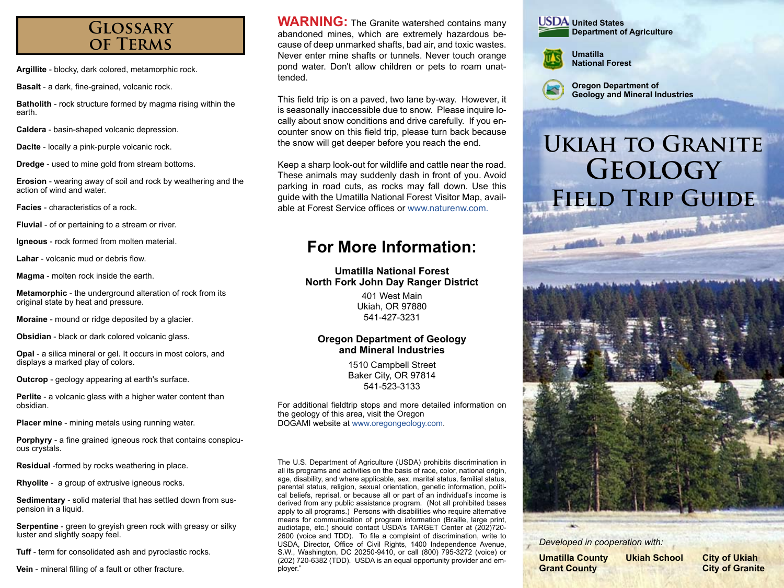### **Glossary of Terms**

**Argillite** - blocky, dark colored, metamorphic rock.

**Basalt** - a dark, fine-grained, volcanic rock.

**Batholith** - rock structure formed by magma rising within the earth.

**Caldera** - basin-shaped volcanic depression.

**Dacite** - locally a pink-purple volcanic rock.

**Dredge** - used to mine gold from stream bottoms.

**Erosion** - wearing away of soil and rock by weathering and the action of wind and water.

**Facies** - characteristics of a rock.

**Fluvial** - of or pertaining to a stream or river.

**Igneous** - rock formed from molten material.

**Lahar** - volcanic mud or debris flow.

**Magma** - molten rock inside the earth.

**Metamorphic** - the underground alteration of rock from its original state by heat and pressure.

**Moraine** - mound or ridge deposited by a glacier.

**Obsidian** - black or dark colored volcanic glass.

**Opal** - a silica mineral or gel. It occurs in most colors, and displays a marked play of colors.

**Outcrop** - geology appearing at earth's surface.

**Perlite** - a volcanic glass with a higher water content than obsidian.

**Placer mine** - mining metals using running water.

**Porphyry** - a fine grained igneous rock that contains conspicuous crystals.

**Residual** -formed by rocks weathering in place.

**Rhyolite** - a group of extrusive igneous rocks.

**Sedimentary** - solid material that has settled down from suspension in a liquid.

**Serpentine** - green to greyish green rock with greasy or silky luster and slightly soapy feel.

**Tuff** - term for consolidated ash and pyroclastic rocks.

**Vein** - mineral filling of a fault or other fracture.

**WARNING:** The Granite watershed contains many abandoned mines, which are extremely hazardous because of deep unmarked shafts, bad air, and toxic wastes. Never enter mine shafts or tunnels. Never touch orange pond water. Don't allow children or pets to roam unattended.

This field trip is on a paved, two lane by-way. However, it is seasonally inaccessible due to snow. Please inquire locally about snow conditions and drive carefully. If you encounter snow on this field trip, please turn back because the snow will get deeper before you reach the end.

Keep a sharp look-out for wildlife and cattle near the road. These animals may suddenly dash in front of you. Avoid parking in road cuts, as rocks may fall down. Use this guide with the Umatilla National Forest Visitor Map, available at Forest Service offices or www.naturenw.com.

## **For More Information:**

**Umatilla National Forest North Fork John Day Ranger District**

> 401 West Main Ukiah, OR 97880 541-427-3231

#### **Oregon Department of Geology and Mineral Industries**

1510 Campbell Street Baker City, OR 97814 541-523-3133

For additional fieldtrip stops and more detailed information on the geology of this area, visit the Oregon DOGAMI website at www.oregongeology.com.

The U.S. Department of Agriculture (USDA) prohibits discrimination in all its programs and activities on the basis of race, color, national origin, age, disability, and where applicable, sex, marital status, familial status, parental status, religion, sexual orientation, genetic information, political beliefs, reprisal, or because all or part of an individual's income is derived from any public assistance program. (Not all prohibited bases apply to all programs.) Persons with disabilities who require alternative means for communication of program information (Braille, large print, audiotape, etc.) should contact USDA's TARGET Center at (202)720- 2600 (voice and TDD). To file a complaint of discrimination, write to USDA, Director, Office of Civil Rights, 1400 Independence Avenue, S.W., Washington, DC 20250-9410, or call (800) 795-3272 (voice) or (202) 720-6382 (TDD). USDA is an equal opportunity provider and employer."





**Umatilla National Forest**



**Oregon Department of Geology and Mineral Industries**

**CONTRACTOR** 

# **Ukiah to Granite Geology Field Trip Guide**



*Developed in cooperation with:*

**Umatilla County Ukiah School City of Ukiah Grant County** City of Granite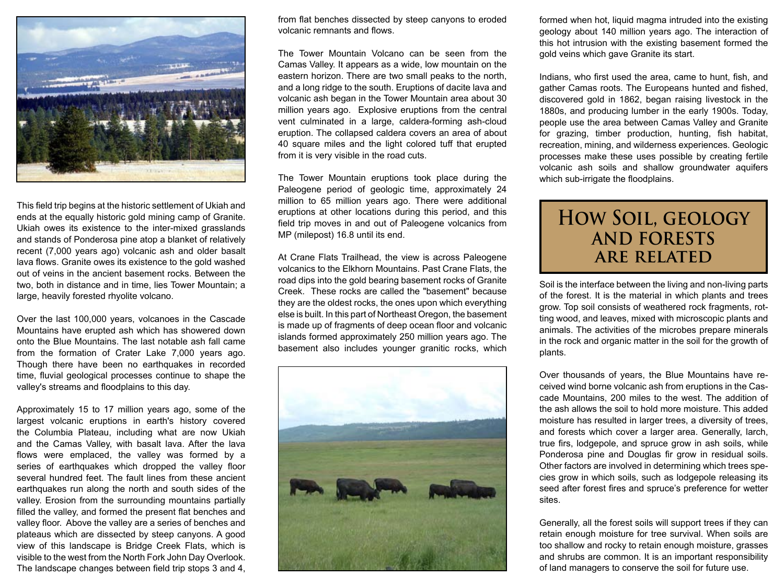

This field trip begins at the historic settlement of Ukiah and ends at the equally historic gold mining camp of Granite. Ukiah owes its existence to the inter-mixed grasslands and stands of Ponderosa pine atop a blanket of relatively recent (7,000 years ago) volcanic ash and older basalt lava flows. Granite owes its existence to the gold washed out of veins in the ancient basement rocks. Between the two, both in distance and in time, lies Tower Mountain; a large, heavily forested rhyolite volcano.

Over the last 100,000 years, volcanoes in the Cascade Mountains have erupted ash which has showered down onto the Blue Mountains. The last notable ash fall came from the formation of Crater Lake 7,000 years ago. Though there have been no earthquakes in recorded time, fluvial geological processes continue to shape the valley's streams and floodplains to this day.

Approximately 15 to 17 million years ago, some of the largest volcanic eruptions in earth's history covered the Columbia Plateau, including what are now Ukiah and the Camas Valley, with basalt lava. After the lava flows were emplaced, the valley was formed by a series of earthquakes which dropped the valley floor several hundred feet. The fault lines from these ancient earthquakes run along the north and south sides of the valley. Erosion from the surrounding mountains partially filled the valley, and formed the present flat benches and valley floor. Above the valley are a series of benches and plateaus which are dissected by steep canyons. A good view of this landscape is Bridge Creek Flats, which is visible to the west from the North Fork John Day Overlook. The landscape changes between field trip stops 3 and 4,

from flat benches dissected by steep canyons to eroded volcanic remnants and flows.

The Tower Mountain Volcano can be seen from the Camas Valley. It appears as a wide, low mountain on the eastern horizon. There are two small peaks to the north, and a long ridge to the south. Eruptions of dacite lava and volcanic ash began in the Tower Mountain area about 30 million years ago. Explosive eruptions from the central vent culminated in a large, caldera-forming ash-cloud eruption. The collapsed caldera covers an area of about 40 square miles and the light colored tuff that erupted from it is very visible in the road cuts.

The Tower Mountain eruptions took place during the Paleogene period of geologic time, approximately 24 million to 65 million years ago. There were additional eruptions at other locations during this period, and this field trip moves in and out of Paleogene volcanics from MP (milepost) 16.8 until its end.

At Crane Flats Trailhead, the view is across Paleogene volcanics to the Elkhorn Mountains. Past Crane Flats, the road dips into the gold bearing basement rocks of Granite Creek. These rocks are called the "basement" because they are the oldest rocks, the ones upon which everything else is built. In this part of Northeast Oregon, the basement is made up of fragments of deep ocean floor and volcanic islands formed approximately 250 million years ago. The basement also includes younger granitic rocks, which



formed when hot, liquid magma intruded into the existing geology about 140 million years ago. The interaction of this hot intrusion with the existing basement formed the gold veins which gave Granite its start.

Indians, who first used the area, came to hunt, fish, and gather Camas roots. The Europeans hunted and fished, discovered gold in 1862, began raising livestock in the 1880s, and producing lumber in the early 1900s. Today, people use the area between Camas Valley and Granite for grazing, timber production, hunting, fish habitat, recreation, mining, and wilderness experiences. Geologic processes make these uses possible by creating fertile volcanic ash soils and shallow groundwater aquifers which sub-irrigate the floodplains.

# **How Soil, geology and forests are related**

Soil is the interface between the living and non-living parts of the forest. It is the material in which plants and trees grow. Top soil consists of weathered rock fragments, rotting wood, and leaves, mixed with microscopic plants and animals. The activities of the microbes prepare minerals in the rock and organic matter in the soil for the growth of plants.

Over thousands of years, the Blue Mountains have received wind borne volcanic ash from eruptions in the Cascade Mountains, 200 miles to the west. The addition of the ash allows the soil to hold more moisture. This added moisture has resulted in larger trees, a diversity of trees, and forests which cover a larger area. Generally, larch, true firs, lodgepole, and spruce grow in ash soils, while Ponderosa pine and Douglas fir grow in residual soils. Other factors are involved in determining which trees species grow in which soils, such as lodgepole releasing its seed after forest fires and spruce's preference for wetter sites.

Generally, all the forest soils will support trees if they can retain enough moisture for tree survival. When soils are too shallow and rocky to retain enough moisture, grasses and shrubs are common. It is an important responsibility of land managers to conserve the soil for future use.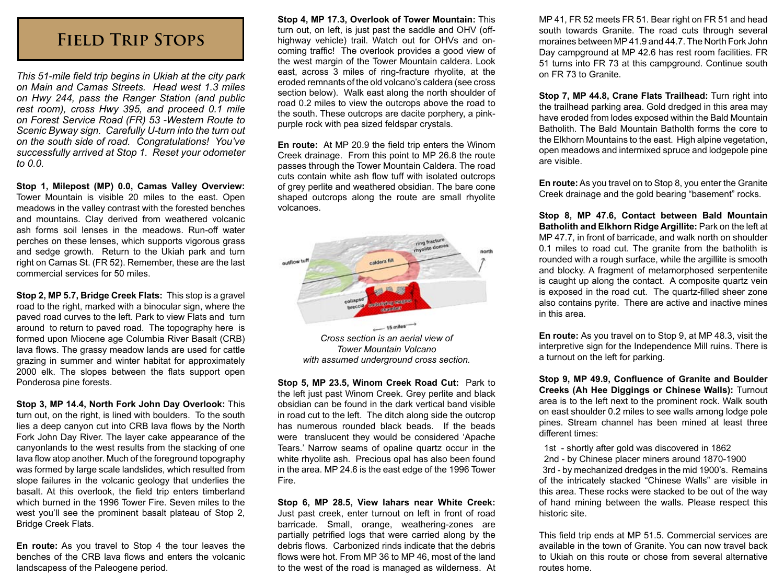## **Field Trip Stops**

*This 51-mile field trip begins in Ukiah at the city park on Main and Camas Streets. Head west 1.3 miles on Hwy 244, pass the Ranger Station (and public rest room), cross Hwy 395, and proceed 0.1 mile on Forest Service Road (FR) 53 -Western Route to Scenic Byway sign. Carefully U-turn into the turn out on the south side of road. Congratulations! You've successfully arrived at Stop 1. Reset your odometer to 0.0.*

**Stop 1, Milepost (MP) 0.0, Camas Valley Overview:**  Tower Mountain is visible 20 miles to the east. Open meadows in the valley contrast with the forested benches and mountains. Clay derived from weathered volcanic ash forms soil lenses in the meadows. Run-off water perches on these lenses, which supports vigorous grass and sedge growth. Return to the Ukiah park and turn right on Camas St. (FR 52). Remember, these are the last commercial services for 50 miles.

**Stop 2, MP 5.7, Bridge Creek Flats:** This stop is a gravel road to the right, marked with a binocular sign, where the paved road curves to the left. Park to view Flats and turn around to return to paved road. The topography here is formed upon Miocene age Columbia River Basalt (CRB) lava flows. The grassy meadow lands are used for cattle grazing in summer and winter habitat for approximately 2000 elk. The slopes between the flats support open Ponderosa pine forests.

**Stop 3, MP 14.4, North Fork John Day Overlook:** This turn out, on the right, is lined with boulders. To the south lies a deep canyon cut into CRB lava flows by the North Fork John Day River. The layer cake appearance of the canyonlands to the west results from the stacking of one lava flow atop another. Much of the foreground topography was formed by large scale landslides, which resulted from slope failures in the volcanic geology that underlies the basalt. At this overlook, the field trip enters timberland which burned in the 1996 Tower Fire. Seven miles to the west you'll see the prominent basalt plateau of Stop 2, Bridge Creek Flats.

**En route:** As you travel to Stop 4 the tour leaves the benches of the CRB lava flows and enters the volcanic landscapess of the Paleogene period.

**Stop 4, MP 17.3, Overlook of Tower Mountain:** This turn out, on left, is just past the saddle and OHV (offhighway vehicle) trail. Watch out for OHVs and oncoming traffic! The overlook provides a good view of the west margin of the Tower Mountain caldera. Look east, across 3 miles of ring-fracture rhyolite, at the eroded remnants of the old volcano's caldera (see cross section below). Walk east along the north shoulder of road 0.2 miles to view the outcrops above the road to the south. These outcrops are dacite porphery, a pinkpurple rock with pea sized feldspar crystals.

**En route:** At MP 20.9 the field trip enters the Winom Creek drainage. From this point to MP 26.8 the route passes through the Tower Mountain Caldera. The road cuts contain white ash flow tuff with isolated outcrops of grey perlite and weathered obsidian. The bare cone shaped outcrops along the route are small rhyolite volcanoes.



**Stop 5, MP 23.5, Winom Creek Road Cut:** Park to the left just past Winom Creek. Grey perlite and black obsidian can be found in the dark vertical band visible in road cut to the left. The ditch along side the outcrop has numerous rounded black beads. If the beads were translucent they would be considered 'Apache Tears.' Narrow seams of opaline quartz occur in the white rhyolite ash. Precious opal has also been found in the area. MP 24.6 is the east edge of the 1996 Tower Fire.

**Stop 6, MP 28.5, View lahars near White Creek:** Just past creek, enter turnout on left in front of road barricade. Small, orange, weathering-zones are partially petrified logs that were carried along by the debris flows. Carbonized rinds indicate that the debris flows were hot. From MP 36 to MP 46, most of the land to the west of the road is managed as wilderness. At MP 41, FR 52 meets FR 51. Bear right on FR 51 and head south towards Granite. The road cuts through several moraines between MP 41.9 and 44.7. The North Fork John Day campground at MP 42.6 has rest room facilities. FR 51 turns into FR 73 at this campground. Continue south on FR 73 to Granite.

**Stop 7, MP 44.8, Crane Flats Trailhead:** Turn right into the trailhead parking area. Gold dredged in this area may have eroded from lodes exposed within the Bald Mountain Batholith. The Bald Mountain Batholth forms the core to the Elkhorn Mountains to the east. High alpine vegetation, open meadows and intermixed spruce and lodgepole pine are visible.

**En route:** As you travel on to Stop 8, you enter the Granite Creek drainage and the gold bearing "basement" rocks.

**Stop 8, MP 47.6, Contact between Bald Mountain Batholith and Elkhorn Ridge Argillite:** Park on the left at MP 47.7, in front of barricade, and walk north on shoulder 0.1 miles to road cut. The granite from the batholith is rounded with a rough surface, while the argillite is smooth and blocky. A fragment of metamorphosed serpentenite is caught up along the contact. A composite quartz vein is exposed in the road cut. The quartz-filled sheer zone also contains pyrite. There are active and inactive mines in this area.

**En route:** As you travel on to Stop 9, at MP 48.3, visit the interpretive sign for the Independence Mill ruins. There is a turnout on the left for parking.

**Stop 9, MP 49.9, Confluence of Granite and Boulder Creeks (Ah Hee Diggings or Chinese Walls):** Turnout area is to the left next to the prominent rock. Walk south on east shoulder 0.2 miles to see walls among lodge pole pines. Stream channel has been mined at least three different times:

1st - shortly after gold was discovered in 1862

 2nd - by Chinese placer miners around 1870-1900 3rd - by mechanized dredges in the mid 1900's. Remains of the intricately stacked "Chinese Walls" are visible in this area. These rocks were stacked to be out of the way of hand mining between the walls. Please respect this historic site.

This field trip ends at MP 51.5. Commercial services are available in the town of Granite. You can now travel back to Ukiah on this route or chose from several alternative routes home.